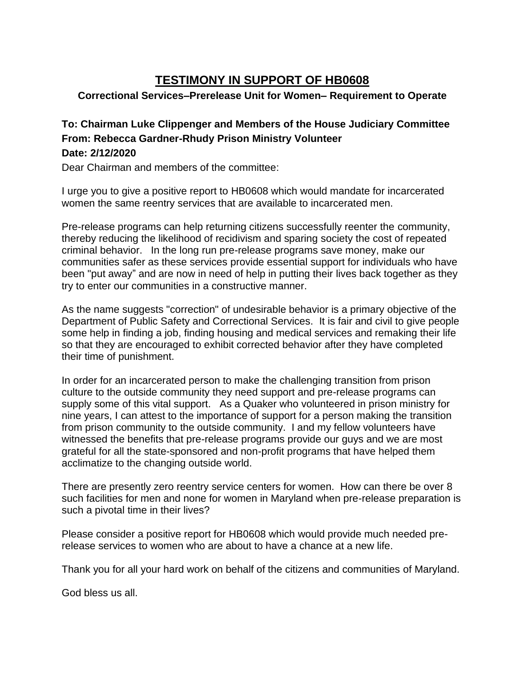## **TESTIMONY IN SUPPORT OF HB0608**

## **Correctional Services–Prerelease Unit for Women– Requirement to Operate**

## **To: Chairman Luke Clippenger and Members of the House Judiciary Committee From: Rebecca Gardner-Rhudy Prison Ministry Volunteer Date: 2/12/2020**

Dear Chairman and members of the committee:

I urge you to give a positive report to HB0608 which would mandate for incarcerated women the same reentry services that are available to incarcerated men.

Pre-release programs can help returning citizens successfully reenter the community, thereby reducing the likelihood of recidivism and sparing society the cost of repeated criminal behavior. In the long run pre-release programs save money, make our communities safer as these services provide essential support for individuals who have been "put away" and are now in need of help in putting their lives back together as they try to enter our communities in a constructive manner.

As the name suggests "correction" of undesirable behavior is a primary objective of the Department of Public Safety and Correctional Services. It is fair and civil to give people some help in finding a job, finding housing and medical services and remaking their life so that they are encouraged to exhibit corrected behavior after they have completed their time of punishment.

In order for an incarcerated person to make the challenging transition from prison culture to the outside community they need support and pre-release programs can supply some of this vital support. As a Quaker who volunteered in prison ministry for nine years, I can attest to the importance of support for a person making the transition from prison community to the outside community. I and my fellow volunteers have witnessed the benefits that pre-release programs provide our guys and we are most grateful for all the state-sponsored and non-profit programs that have helped them acclimatize to the changing outside world.

There are presently zero reentry service centers for women. How can there be over 8 such facilities for men and none for women in Maryland when pre-release preparation is such a pivotal time in their lives?

Please consider a positive report for HB0608 which would provide much needed prerelease services to women who are about to have a chance at a new life.

Thank you for all your hard work on behalf of the citizens and communities of Maryland.

God bless us all.